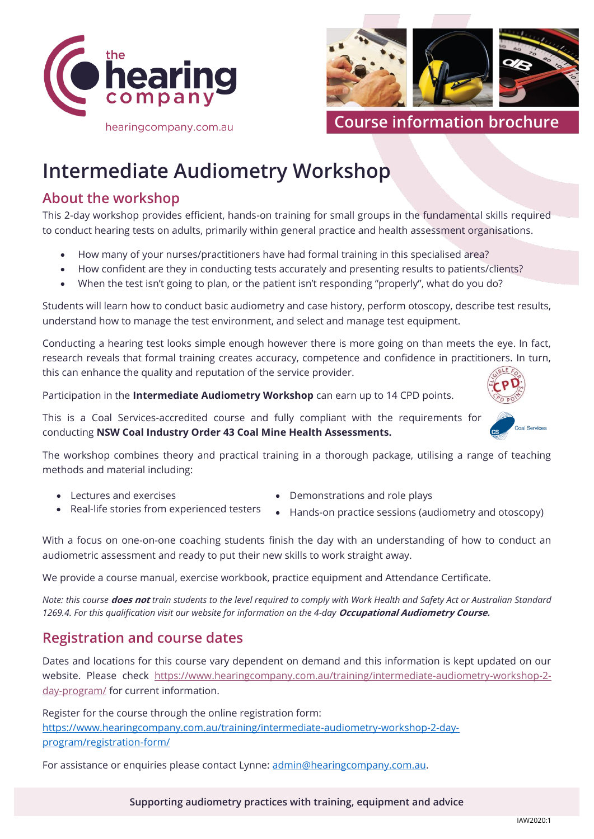



**Course information brochure**

# **Intermediate Audiometry Workshop**

## **About the workshop**

This 2-day workshop provides efficient, hands-on training for small groups in the fundamental skills required to conduct hearing tests on adults, primarily within general practice and health assessment organisations.

- How many of your nurses/practitioners have had formal training in this specialised area?
- How confident are they in conducting tests accurately and presenting results to patients/clients?
- When the test isn't going to plan, or the patient isn't responding "properly", what do you do?

Students will learn how to conduct basic audiometry and case history, perform otoscopy, describe test results, understand how to manage the test environment, and select and manage test equipment.

Conducting a hearing test looks simple enough however there is more going on than meets the eye. In fact, research reveals that formal training creates accuracy, competence and confidence in practitioners. In turn, this can enhance the quality and reputation of the service provider.

Participation in the **Intermediate Audiometry Workshop** can earn up to 14 CPD points.

This is a Coal Services-accredited course and fully compliant with the requirements for conducting **NSW Coal Industry Order 43 Coal Mine Health Assessments.**

The workshop combines theory and practical training in a thorough package, utilising a range of teaching methods and material including:

• Lectures and exercises

- Demonstrations and role plays
- Real-life stories from experienced testers
- Hands-on practice sessions (audiometry and otoscopy)

With a focus on one-on-one coaching students finish the day with an understanding of how to conduct an audiometric assessment and ready to put their new skills to work straight away.

We provide a course manual, exercise workbook, practice equipment and Attendance Certificate.

*Note: this course* **does not** *train students to the level required to comply with Work Health and Safety Act or Australian Standard 1269.4. For this qualification visit our website for information on the 4-day [Occupational Audiometry Course.](http://www.hearingcompany.com.au/occupational-audiometry-course-4-day/)* 

## **Registration and course dates**

Dates and locations for this course vary dependent on demand and this information is kept updated on our website. Please check [https://www.hearingcompany.com.au/training/intermediate-audiometry-workshop-2](https://www.hearingcompany.com.au/training/intermediate-audiometry-workshop-2-day-program/) [day-program/](https://www.hearingcompany.com.au/training/intermediate-audiometry-workshop-2-day-program/) for current information.

Register for the course through the online registration form: [https://www.hearingcompany.com.au/training/intermediate-audiometry-workshop-2-day](https://www.hearingcompany.com.au/training/intermediate-audiometry-workshop-2-day-program/registration-form/)[program/registration-form/](https://www.hearingcompany.com.au/training/intermediate-audiometry-workshop-2-day-program/registration-form/)

For assistance or enquiries please contact Lynne: admin@hearingcompany.com.au.

**Supporting audiometry practices with training, equipment and advice**